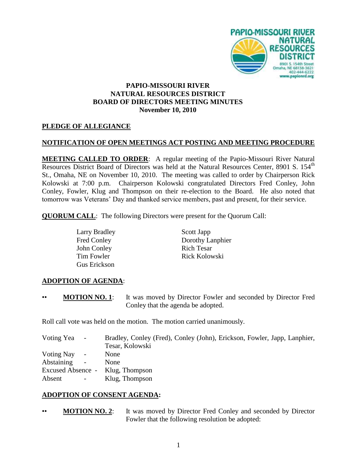

## **PAPIO-MISSOURI RIVER NATURAL RESOURCES DISTRICT BOARD OF DIRECTORS MEETING MINUTES November 10, 2010**

## **PLEDGE OF ALLEGIANCE**

### **NOTIFICATION OF OPEN MEETINGS ACT POSTING AND MEETING PROCEDURE**

**MEETING CALLED TO ORDER**: A regular meeting of the Papio-Missouri River Natural Resources District Board of Directors was held at the Natural Resources Center, 8901 S. 154<sup>th</sup> St., Omaha, NE on November 10, 2010. The meeting was called to order by Chairperson Rick Kolowski at 7:00 p.m. Chairperson Kolowski congratulated Directors Fred Conley, John Conley, Fowler, Klug and Thompson on their re-election to the Board. He also noted that tomorrow was Veterans' Day and thanked service members, past and present, for their service.

**QUORUM CALL**: The following Directors were present for the Quorum Call:

Larry Bradley Scott Japp John Conley Rich Tesar Gus Erickson

Fred Conley Dorothy Lanphier Tim Fowler **Rick Kolowski** 

## **ADOPTION OF AGENDA**:

• **MOTION NO. 1**: It was moved by Director Fowler and seconded by Director Fred Conley that the agenda be adopted.

Roll call vote was held on the motion. The motion carried unanimously.

| Voting Yea<br>$\sim$                          | Bradley, Conley (Fred), Conley (John), Erickson, Fowler, Japp, Lanphier, |
|-----------------------------------------------|--------------------------------------------------------------------------|
|                                               | Tesar, Kolowski                                                          |
| Voting Nay                                    | None                                                                     |
| <b>Abstaining</b><br>$\overline{\phantom{a}}$ | <b>None</b>                                                              |
| Excused Absence -                             | Klug, Thompson                                                           |
| Absent<br>$\sim$                              | Klug, Thompson                                                           |
|                                               |                                                                          |

#### **ADOPTION OF CONSENT AGENDA:**

• **MOTION NO. 2**: It was moved by Director Fred Conley and seconded by Director Fowler that the following resolution be adopted: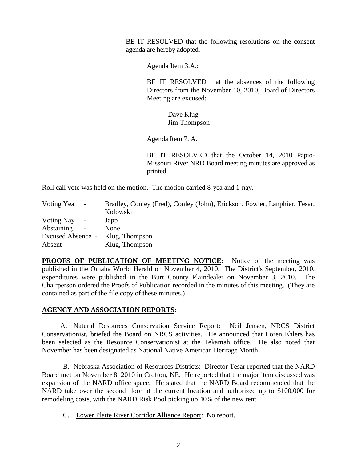BE IT RESOLVED that the following resolutions on the consent agenda are hereby adopted.

Agenda Item 3.A.:

BE IT RESOLVED that the absences of the following Directors from the November 10, 2010, Board of Directors Meeting are excused:

> Dave Klug Jim Thompson

Agenda Item 7. A.

BE IT RESOLVED that the October 14, 2010 Papio-Missouri River NRD Board meeting minutes are approved as printed.

Roll call vote was held on the motion. The motion carried 8-yea and 1-nay.

| Voting Yea | $\sim$         | Bradley, Conley (Fred), Conley (John), Erickson, Fowler, Lanphier, Tesar, |
|------------|----------------|---------------------------------------------------------------------------|
|            |                | Kolowski                                                                  |
| Voting Nay | $\sim$         | Japp                                                                      |
| Abstaining | $\sim$         | None                                                                      |
|            |                | Excused Absence - Klug, Thompson                                          |
| Absent     | $\sim$ $ \sim$ | Klug, Thompson                                                            |

**PROOFS OF PUBLICATION OF MEETING NOTICE:** Notice of the meeting was published in the Omaha World Herald on November 4, 2010. The District's September, 2010, expenditures were published in the Burt County Plaindealer on November 3, 2010. The Chairperson ordered the Proofs of Publication recorded in the minutes of this meeting. (They are contained as part of the file copy of these minutes.)

#### **AGENCY AND ASSOCIATION REPORTS**:

A. Natural Resources Conservation Service Report: Neil Jensen, NRCS District Conservationist, briefed the Board on NRCS activities. He announced that Loren Ehlers has been selected as the Resource Conservationist at the Tekamah office. He also noted that November has been designated as National Native American Heritage Month.

B. Nebraska Association of Resources Districts: Director Tesar reported that the NARD Board met on November 8, 2010 in Crofton, NE. He reported that the major item discussed was expansion of the NARD office space. He stated that the NARD Board recommended that the NARD take over the second floor at the current location and authorized up to \$100,000 for remodeling costs, with the NARD Risk Pool picking up 40% of the new rent.

C. Lower Platte River Corridor Alliance Report: No report.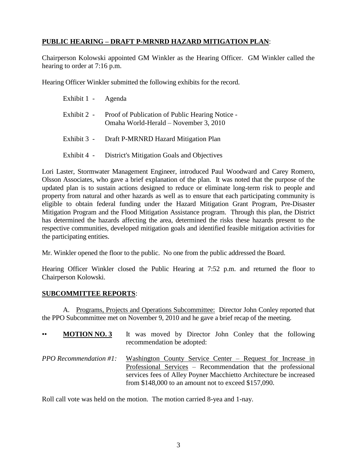# **PUBLIC HEARING – DRAFT P-MRNRD HAZARD MITIGATION PLAN**:

Chairperson Kolowski appointed GM Winkler as the Hearing Officer. GM Winkler called the hearing to order at 7:16 p.m.

Hearing Officer Winkler submitted the following exhibits for the record.

| Exhibit 1 - Agenda |                                                                                                      |
|--------------------|------------------------------------------------------------------------------------------------------|
|                    | Exhibit 2 - Proof of Publication of Public Hearing Notice -<br>Omaha World-Herald – November 3, 2010 |
|                    | Exhibit 3 - Draft P-MRNRD Hazard Mitigation Plan                                                     |
|                    | Exhibit 4 - District's Mitigation Goals and Objectives                                               |

Lori Laster, Stormwater Management Engineer, introduced Paul Woodward and Carey Romero, Olsson Associates, who gave a brief explanation of the plan. It was noted that the purpose of the updated plan is to sustain actions designed to reduce or eliminate long-term risk to people and property from natural and other hazards as well as to ensure that each participating community is eligible to obtain federal funding under the Hazard Mitigation Grant Program, Pre-Disaster Mitigation Program and the Flood Mitigation Assistance program. Through this plan, the District has determined the hazards affecting the area, determined the risks these hazards present to the respective communities, developed mitigation goals and identified feasible mitigation activities for the participating entities.

Mr. Winkler opened the floor to the public. No one from the public addressed the Board.

Hearing Officer Winkler closed the Public Hearing at 7:52 p.m. and returned the floor to Chairperson Kolowski.

## **SUBCOMMITTEE REPORTS**:

A. Programs, Projects and Operations Subcommittee: Director John Conley reported that the PPO Subcommittee met on November 9, 2010 and he gave a brief recap of the meeting.

| <b>MOTION NO. 3</b>              | It was moved by Director John Conley that the following                                                                                                                                                                                                     |
|----------------------------------|-------------------------------------------------------------------------------------------------------------------------------------------------------------------------------------------------------------------------------------------------------------|
| $\bullet\bullet$                 | recommendation be adopted:                                                                                                                                                                                                                                  |
| <b>PPO</b> Recommendation $#1$ : | Washington County Service Center – Request for Increase in<br>Professional Services – Recommendation that the professional<br>services fees of Alley Poyner Macchietto Architecture be increased<br>from $$148,000$ to an amount not to exceed $$157,090$ . |

Roll call vote was held on the motion. The motion carried 8-yea and 1-nay.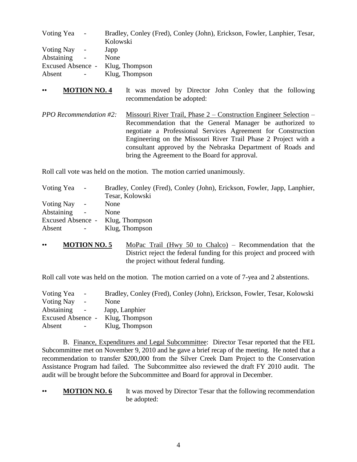| Voting Yea<br>$\sim$                | Bradley, Conley (Fred), Conley (John), Erickson, Fowler, Lanphier, Tesar, |
|-------------------------------------|---------------------------------------------------------------------------|
| <b>Voting Nay</b><br>$\sim$ $^{-1}$ | Kolowski                                                                  |
| Abstaining<br>$\sim$                | Japp<br>None                                                              |
|                                     | Excused Absence - Klug, Thompson                                          |
|                                     |                                                                           |
| Absent<br>$\sim$                    | Klug, Thompson                                                            |

- •• **MOTION NO. 4** It was moved by Director John Conley that the following recommendation be adopted:
- *PPO Recommendation #2:* Missouri River Trail, Phase 2 Construction Engineer Selection Recommendation that the General Manager be authorized to negotiate a Professional Services Agreement for Construction Engineering on the Missouri River Trail Phase 2 Project with a consultant approved by the Nebraska Department of Roads and bring the Agreement to the Board for approval.

Roll call vote was held on the motion. The motion carried unanimously.

| Voting Yea        | $\sim$         | Bradley, Conley (Fred), Conley (John), Erickson, Fowler, Japp, Lanphier, |
|-------------------|----------------|--------------------------------------------------------------------------|
|                   |                | Tesar, Kolowski                                                          |
| Voting Nay        | $\sim$ $^{-1}$ | None                                                                     |
| <b>Abstaining</b> | $\sim$         | None                                                                     |
| Excused Absence - |                | Klug, Thompson                                                           |
| Absent            | $\sim$ .       | Klug, Thompson                                                           |

•• **MOTION NO. 5** MoPac Trail (Hwy 50 to Chalco) – Recommendation that the District reject the federal funding for this project and proceed with the project without federal funding.

Roll call vote was held on the motion. The motion carried on a vote of 7-yea and 2 abstentions.

| Voting Yea<br>$\sim$ $-$ | Bradley, Conley (Fred), Conley (John), Erickson, Fowler, Tesar, Kolowski |
|--------------------------|--------------------------------------------------------------------------|
| Voting Nay<br>$\sim$     | None                                                                     |
| Abstaining<br>$\sim$     | Japp, Lanphier                                                           |
|                          | Excused Absence - Klug, Thompson                                         |
| Absent<br>$\sim$ $-$     | Klug, Thompson                                                           |

B. Finance, Expenditures and Legal Subcommittee: Director Tesar reported that the FEL Subcommittee met on November 9, 2010 and he gave a brief recap of the meeting. He noted that a recommendation to transfer \$200,000 from the Silver Creek Dam Project to the Conservation Assistance Program had failed. The Subcommittee also reviewed the draft FY 2010 audit. The audit will be brought before the Subcommittee and Board for approval in December.

**MOTION NO. 6** It was moved by Director Tesar that the following recommendation be adopted: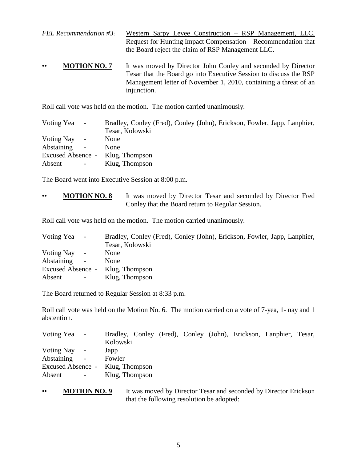*FEL Recommendation #3:* Western Sarpy Levee Construction – RSP Management, LLC, Request for Hunting Impact Compensation – Recommendation that the Board reject the claim of RSP Management LLC.

• **MOTION NO. 7** It was moved by Director John Conley and seconded by Director Tesar that the Board go into Executive Session to discuss the RSP Management letter of November 1, 2010, containing a threat of an injunction.

Roll call vote was held on the motion. The motion carried unanimously.

| Voting Yea           | $\sim$     | Bradley, Conley (Fred), Conley (John), Erickson, Fowler, Japp, Lanphier, |
|----------------------|------------|--------------------------------------------------------------------------|
|                      |            | Tesar, Kolowski                                                          |
| Voting Nay           | $\sim$     | None                                                                     |
| Abstaining<br>$\sim$ |            | <b>None</b>                                                              |
|                      |            | Excused Absence - Klug, Thompson                                         |
| Absent               | $\sim$ $-$ | Klug, Thompson                                                           |

The Board went into Executive Session at 8:00 p.m.

•• **MOTION NO. 8** It was moved by Director Tesar and seconded by Director Fred Conley that the Board return to Regular Session.

Roll call vote was held on the motion. The motion carried unanimously.

| Voting Yea - |            | Bradley, Conley (Fred), Conley (John), Erickson, Fowler, Japp, Lanphier, |
|--------------|------------|--------------------------------------------------------------------------|
|              |            | Tesar, Kolowski                                                          |
| Voting Nay - |            | None                                                                     |
| Abstaining   | $\sim$     | <b>None</b>                                                              |
|              |            | Excused Absence - Klug, Thompson                                         |
| Absent       | $\sim$ $-$ | Klug, Thompson                                                           |

The Board returned to Regular Session at 8:33 p.m.

Roll call vote was held on the Motion No. 6. The motion carried on a vote of 7-yea, 1- nay and 1 abstention.

| Voting Yea -                     |                          |                |  |  | Bradley, Conley (Fred), Conley (John), Erickson, Lanphier, Tesar, |  |
|----------------------------------|--------------------------|----------------|--|--|-------------------------------------------------------------------|--|
|                                  |                          | Kolowski       |  |  |                                                                   |  |
| Voting Nay                       | $\sim$                   | Japp           |  |  |                                                                   |  |
| <b>Abstaining</b>                | $\overline{\phantom{a}}$ | Fowler         |  |  |                                                                   |  |
| Excused Absence - Klug, Thompson |                          |                |  |  |                                                                   |  |
| Absent                           | $\sim$                   | Klug, Thompson |  |  |                                                                   |  |
|                                  |                          |                |  |  |                                                                   |  |

• **MOTION NO. 9** It was moved by Director Tesar and seconded by Director Erickson that the following resolution be adopted: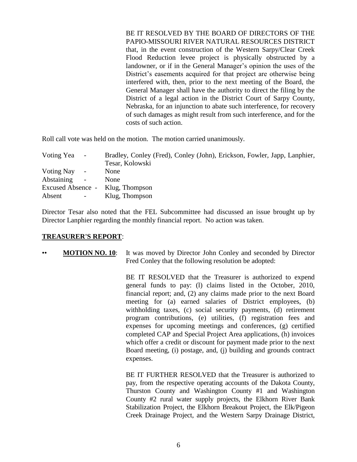BE IT RESOLVED BY THE BOARD OF DIRECTORS OF THE PAPIO-MISSOURI RIVER NATURAL RESOURCES DISTRICT that, in the event construction of the Western Sarpy/Clear Creek Flood Reduction levee project is physically obstructed by a landowner, or if in the General Manager's opinion the uses of the District's easements acquired for that project are otherwise being interfered with, then, prior to the next meeting of the Board, the General Manager shall have the authority to direct the filing by the District of a legal action in the District Court of Sarpy County, Nebraska, for an injunction to abate such interference, for recovery of such damages as might result from such interference, and for the costs of such action.

Roll call vote was held on the motion. The motion carried unanimously.

| Voting Yea - |            | Bradley, Conley (Fred), Conley (John), Erickson, Fowler, Japp, Lanphier, |
|--------------|------------|--------------------------------------------------------------------------|
|              |            | Tesar, Kolowski                                                          |
| Voting Nay - |            | None                                                                     |
| Abstaining   | $\sim$     | None                                                                     |
|              |            | Excused Absence - Klug, Thompson                                         |
| Absent       | $\sim$ $-$ | Klug, Thompson                                                           |

Director Tesar also noted that the FEL Subcommittee had discussed an issue brought up by Director Lanphier regarding the monthly financial report. No action was taken.

#### **TREASURER'S REPORT**:

•• **MOTION NO. 10**: It was moved by Director John Conley and seconded by Director Fred Conley that the following resolution be adopted:

> BE IT RESOLVED that the Treasurer is authorized to expend general funds to pay: (l) claims listed in the October, 2010, financial report; and, (2) any claims made prior to the next Board meeting for (a) earned salaries of District employees, (b) withholding taxes, (c) social security payments, (d) retirement program contributions, (e) utilities, (f) registration fees and expenses for upcoming meetings and conferences, (g) certified completed CAP and Special Project Area applications, (h) invoices which offer a credit or discount for payment made prior to the next Board meeting, (i) postage, and, (j) building and grounds contract expenses.

> BE IT FURTHER RESOLVED that the Treasurer is authorized to pay, from the respective operating accounts of the Dakota County, Thurston County and Washington County #1 and Washington County #2 rural water supply projects, the Elkhorn River Bank Stabilization Project, the Elkhorn Breakout Project, the Elk/Pigeon Creek Drainage Project, and the Western Sarpy Drainage District,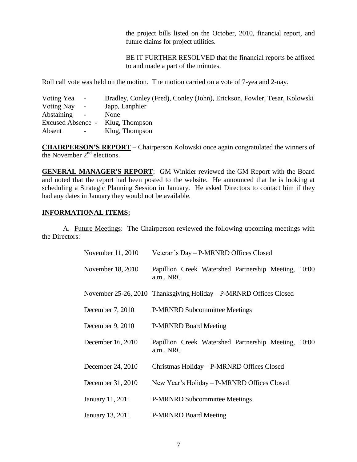the project bills listed on the October, 2010, financial report, and future claims for project utilities.

BE IT FURTHER RESOLVED that the financial reports be affixed to and made a part of the minutes.

Roll call vote was held on the motion. The motion carried on a vote of 7-yea and 2-nay.

| Voting Yea<br>$\sim$         | Bradley, Conley (Fred), Conley (John), Erickson, Fowler, Tesar, Kolowski |
|------------------------------|--------------------------------------------------------------------------|
| Voting Nay<br>$\blacksquare$ | Japp, Lanphier                                                           |
| Abstaining<br>$\sim$         | None                                                                     |
| Excused Absence -            | Klug, Thompson                                                           |
| Absent<br>$\sim$             | Klug, Thompson                                                           |
|                              |                                                                          |

**CHAIRPERSON'S REPORT** – Chairperson Kolowski once again congratulated the winners of the November  $2<sup>nd</sup>$  elections.

**GENERAL MANAGER'S REPORT**: GM Winkler reviewed the GM Report with the Board and noted that the report had been posted to the website. He announced that he is looking at scheduling a Strategic Planning Session in January. He asked Directors to contact him if they had any dates in January they would not be available.

#### **INFORMATIONAL ITEMS:**

A. Future Meetings: The Chairperson reviewed the following upcoming meetings with the Directors:

| November 11, 2010 | Veteran's Day – P-MRNRD Offices Closed                             |
|-------------------|--------------------------------------------------------------------|
| November 18, 2010 | Papillion Creek Watershed Partnership Meeting, 10:00<br>a.m., NRC  |
|                   | November 25-26, 2010 Thanksgiving Holiday – P-MRNRD Offices Closed |
| December 7, 2010  | <b>P-MRNRD Subcommittee Meetings</b>                               |
| December 9, 2010  | <b>P-MRNRD Board Meeting</b>                                       |
| December 16, 2010 | Papillion Creek Watershed Partnership Meeting, 10:00<br>a.m., NRC  |
| December 24, 2010 | Christmas Holiday - P-MRNRD Offices Closed                         |
| December 31, 2010 | New Year's Holiday – P-MRNRD Offices Closed                        |
| January 11, 2011  | <b>P-MRNRD Subcommittee Meetings</b>                               |
| January 13, 2011  | <b>P-MRNRD Board Meeting</b>                                       |